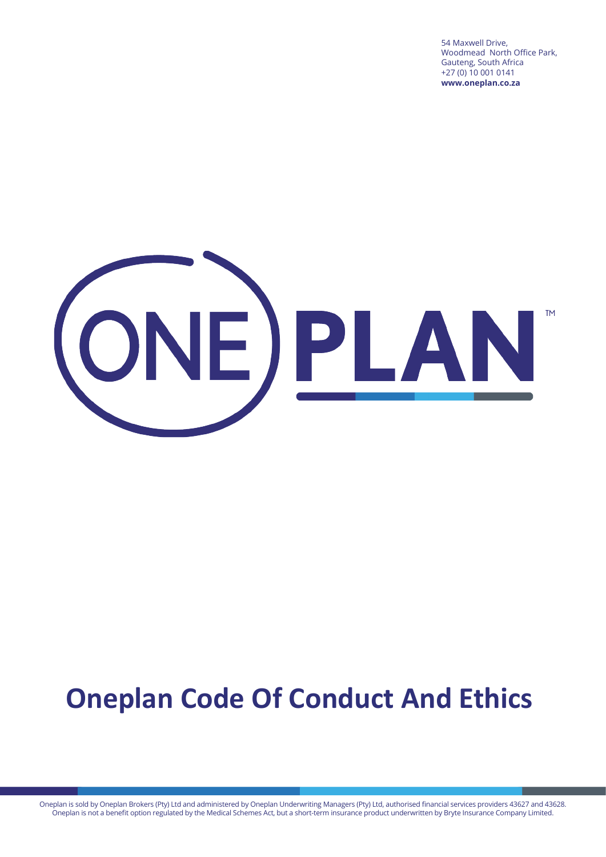54 Maxwell Drive, Woodmead North Office Park, Gauteng, South Africa +27 (0) 10 001 0141 **www.oneplan.co.za**



## **Oneplan Code Of Conduct And Ethics**

Oneplan is sold by Oneplan Brokers (Pty) Ltd and administered by Oneplan Underwriting Managers (Pty) Ltd, authorised financial services providers 43627 and 43628. Oneplan is not a benefit option regulated by the Medical Schemes Act, but a short-term insurance product underwritten by Bryte Insurance Company Limited.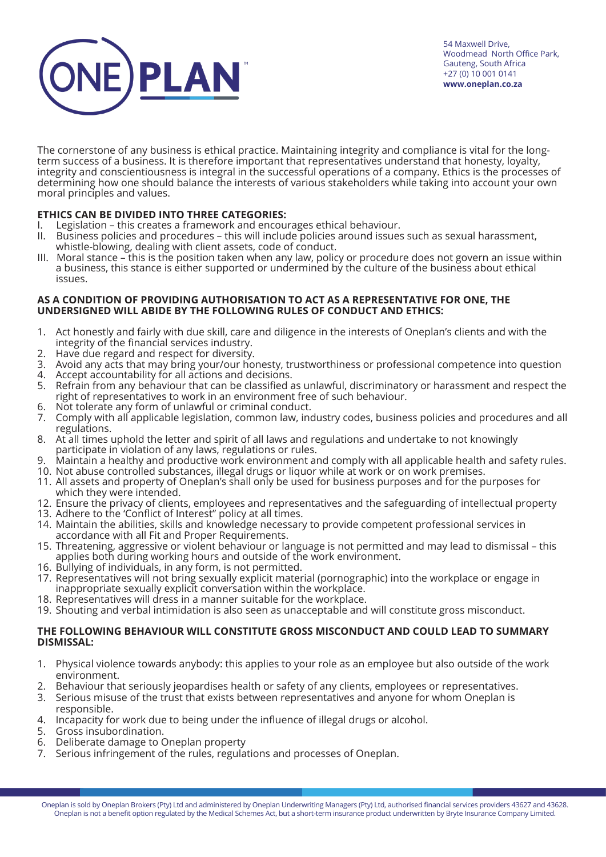

The cornerstone of any business is ethical practice. Maintaining integrity and compliance is vital for the longterm success of a business. It is therefore important that representatives understand that honesty, loyalty, integrity and conscientiousness is integral in the successful operations of a company. Ethics is the processes of determining how one should balance the interests of various stakeholders while taking into account your own moral principles and values.

## **ETHICS CAN BE DIVIDED INTO THREE CATEGORIES:**

- I. Legislation this creates a framework and encourages ethical behaviour.
- II. Business policies and procedures this will include policies around issues such as sexual harassment, whistle-blowing, dealing with client assets, code of conduct.
- III. Moral stance this is the position taken when any law, policy or procedure does not govern an issue within a business, this stance is either supported or undermined by the culture of the business about ethical issues.

## **AS A CONDITION OF PROVIDING AUTHORISATION TO ACT AS A REPRESENTATIVE FOR ONE, THE UNDERSIGNED WILL ABIDE BY THE FOLLOWING RULES OF CONDUCT AND ETHICS:**

- 1. Act honestly and fairly with due skill, care and diligence in the interests of Oneplan's clients and with the integrity of the financial services industry.
- 2. Have due regard and respect for diversity.
- 3. Avoid any acts that may bring your/our honesty, trustworthiness or professional competence into question
- 4. Accept accountability for all actions and decisions.
- 5. Refrain from any behaviour that can be classified as unlawful, discriminatory or harassment and respect the right of representatives to work in an environment free of such behaviour.
- 6. Not tolerate any form of unlawful or criminal conduct.
- 7. Comply with all applicable legislation, common law, industry codes, business policies and procedures and all regulations.
- 8. At all times uphold the letter and spirit of all laws and regulations and undertake to not knowingly participate in violation of any laws, regulations or rules.
- 9. Maintain a healthy and productive work environment and comply with all applicable health and safety rules.
- 10. Not abuse controlled substances, illegal drugs or liquor while at work or on work premises.
- 11. All assets and property of Oneplan's shall only be used for business purposes and for the purposes for which they were intended.
- 12. Ensure the privacy of clients, employees and representatives and the safeguarding of intellectual property
- 13. Adhere to the 'Conflict of Interest" policy at all times.
- 14. Maintain the abilities, skills and knowledge necessary to provide competent professional services in accordance with all Fit and Proper Requirements.
- 15. Threatening, aggressive or violent behaviour or language is not permitted and may lead to dismissal this applies both during working hours and outside of the work environment.
- 16. Bullying of individuals, in any form, is not permitted.
- 17. Representatives will not bring sexually explicit material (pornographic) into the workplace or engage in inappropriate sexually explicit conversation within the workplace.
- 18. Representatives will dress in a manner suitable for the workplace.
- 19. Shouting and verbal intimidation is also seen as unacceptable and will constitute gross misconduct.

## **THE FOLLOWING BEHAVIOUR WILL CONSTITUTE GROSS MISCONDUCT AND COULD LEAD TO SUMMARY DISMISSAL:**

- 1. Physical violence towards anybody: this applies to your role as an employee but also outside of the work environment.
- 2. Behaviour that seriously jeopardises health or safety of any clients, employees or representatives.
- 3. Serious misuse of the trust that exists between representatives and anyone for whom Oneplan is responsible.
- 4. Incapacity for work due to being under the influence of illegal drugs or alcohol.
- 5. Gross insubordination.
- 6. Deliberate damage to Oneplan property
- 7. Serious infringement of the rules, regulations and processes of Oneplan.